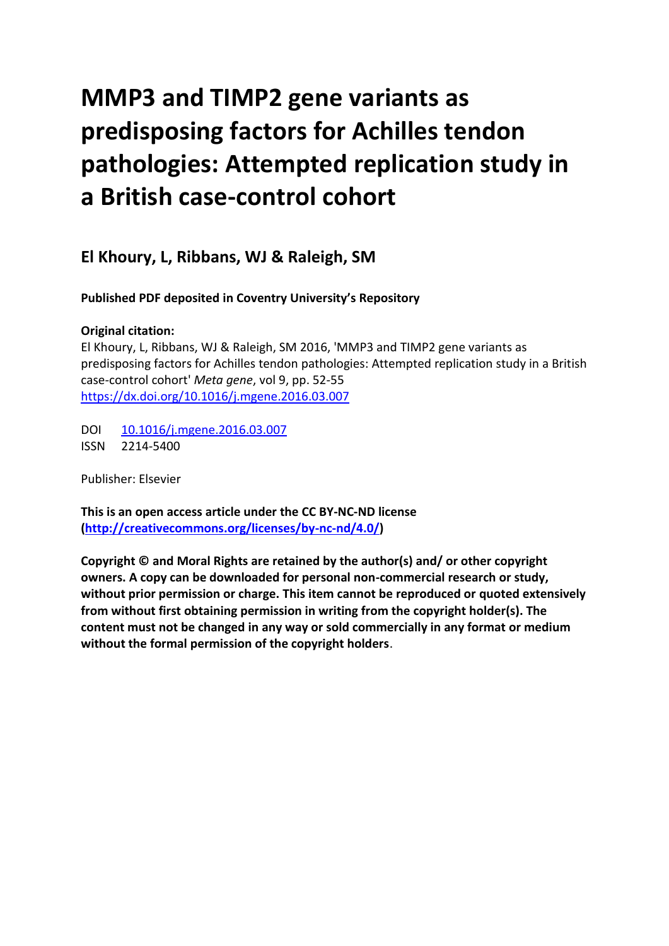# **MMP3 and TIMP2 gene variants as predisposing factors for Achilles tendon pathologies: Attempted replication study in a British case-control cohort**

## **El Khoury, L, Ribbans, WJ & Raleigh, SM**

**Published PDF deposited in Coventry University's Repository**

### **Original citation:**

El Khoury, L, Ribbans, WJ & Raleigh, SM 2016, 'MMP3 and TIMP2 gene variants as predisposing factors for Achilles tendon pathologies: Attempted replication study in a British case-control cohort' *Meta gene*, vol 9, pp. 52-55 [https://dx.doi.org/10.1016/j.mgene.2016.03.007](https://dx.doi.org/%5bDOI%5d)

DOI [10.1016/j.mgene.2016.03.007](http://dx.doi.org/10.1016/j.mgene.2016.03.007) ISSN 2214-5400

Publisher: Elsevier

**This is an open access article under the CC BY-NC-ND license [\(http://creativecommons.org/licenses/by-nc-nd/4.0/\)](http://creativecommons.org/licenses/by-nc-nd/4.0/)**

**Copyright © and Moral Rights are retained by the author(s) and/ or other copyright owners. A copy can be downloaded for personal non-commercial research or study, without prior permission or charge. This item cannot be reproduced or quoted extensively from without first obtaining permission in writing from the copyright holder(s). The content must not be changed in any way or sold commercially in any format or medium without the formal permission of the copyright holders**.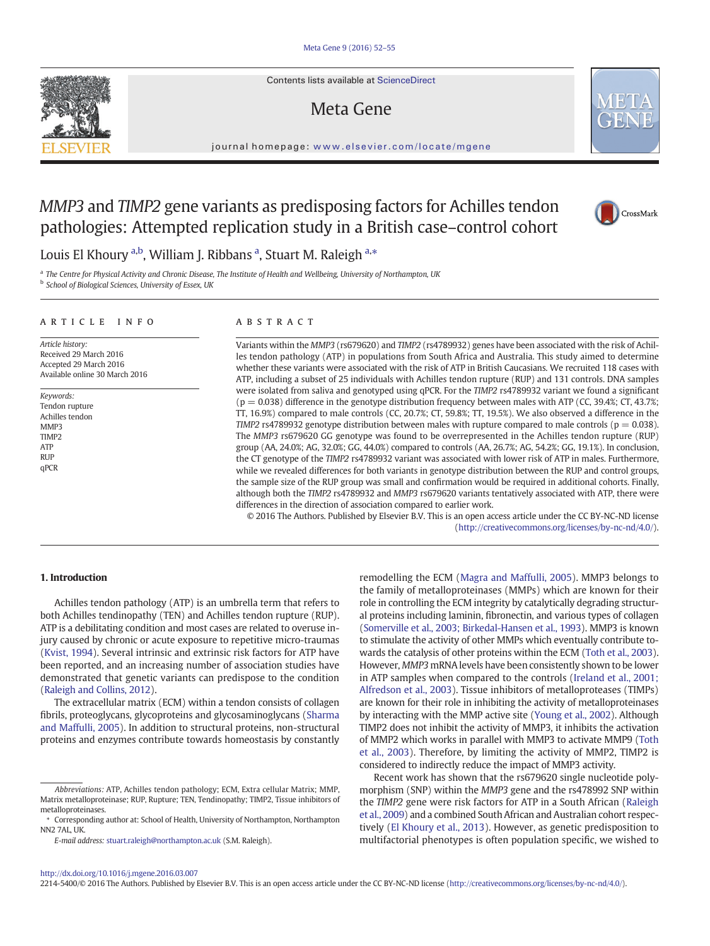Contents lists available at ScienceDirect

## Meta Gene



#### journal homepage: <www.elsevier.com/locate/mgene>

### MMP3 and TIMP2 gene variants as predisposing factors for Achilles tendon pathologies: Attempted replication study in a British case–control cohort



Louis El Khoury <sup>a,b</sup>, William J. Ribbans <sup>a</sup>, Stuart M. Raleigh <sup>a,\*</sup>

a The Centre for Physical Activity and Chronic Disease, The Institute of Health and Wellbeing, University of Northampton, UK **b** School of Biological Sciences, University of Essex, UK

#### article info abstract

Article history: Received 29 March 2016 Accepted 29 March 2016 Available online 30 March 2016

Keywords: Tendon rupture Achilles tendon MMP3 TIMP2 ATP RUP qPCR

Variants within the MMP3 (rs679620) and TIMP2 (rs4789932) genes have been associated with the risk of Achilles tendon pathology (ATP) in populations from South Africa and Australia. This study aimed to determine whether these variants were associated with the risk of ATP in British Caucasians. We recruited 118 cases with ATP, including a subset of 25 individuals with Achilles tendon rupture (RUP) and 131 controls. DNA samples were isolated from saliva and genotyped using qPCR. For the TIMP2 rs4789932 variant we found a significant  $(p = 0.038)$  difference in the genotype distribution frequency between males with ATP (CC, 39.4%; CT, 43.7%; TT, 16.9%) compared to male controls (CC, 20.7%; CT, 59.8%; TT, 19.5%). We also observed a difference in the TIMP2 rs4789932 genotype distribution between males with rupture compared to male controls ( $p = 0.038$ ). The MMP3 rs679620 GG genotype was found to be overrepresented in the Achilles tendon rupture (RUP) group (AA, 24.0%; AG, 32.0%; GG, 44.0%) compared to controls (AA, 26.7%; AG, 54.2%; GG, 19.1%). In conclusion, the CT genotype of the TIMP2 rs4789932 variant was associated with lower risk of ATP in males. Furthermore, while we revealed differences for both variants in genotype distribution between the RUP and control groups, the sample size of the RUP group was small and confirmation would be required in additional cohorts. Finally, although both the TIMP2 rs4789932 and MMP3 rs679620 variants tentatively associated with ATP, there were differences in the direction of association compared to earlier work.

© 2016 The Authors. Published by Elsevier B.V. This is an open access article under the CC BY-NC-ND license (<http://creativecommons.org/licenses/by-nc-nd/4.0/>).

### 1. Introduction

Achilles tendon pathology (ATP) is an umbrella term that refers to both Achilles tendinopathy (TEN) and Achilles tendon rupture (RUP). ATP is a debilitating condition and most cases are related to overuse injury caused by chronic or acute exposure to repetitive micro-traumas [\(Kvist, 1994\)](#page-4-0). Several intrinsic and extrinsic risk factors for ATP have been reported, and an increasing number of association studies have demonstrated that genetic variants can predispose to the condition [\(Raleigh and Collins, 2012](#page-4-0)).

The extracellular matrix (ECM) within a tendon consists of collagen fibrils, proteoglycans, glycoproteins and glycosaminoglycans [\(Sharma](#page-4-0) [and Maffulli, 2005](#page-4-0)). In addition to structural proteins, non-structural proteins and enzymes contribute towards homeostasis by constantly remodelling the ECM [\(Magra and Maffulli, 2005\)](#page-4-0). MMP3 belongs to the family of metalloproteinases (MMPs) which are known for their role in controlling the ECM integrity by catalytically degrading structural proteins including laminin, fibronectin, and various types of collagen [\(Somerville et al., 2003; Birkedal-Hansen et al., 1993\)](#page-4-0). MMP3 is known to stimulate the activity of other MMPs which eventually contribute towards the catalysis of other proteins within the ECM [\(Toth et al., 2003\)](#page-4-0). However, MMP3 mRNA levels have been consistently shown to be lower in ATP samples when compared to the controls [\(Ireland et al., 2001;](#page-4-0) [Alfredson et al., 2003](#page-4-0)). Tissue inhibitors of metalloproteases (TIMPs) are known for their role in inhibiting the activity of metalloproteinases by interacting with the MMP active site [\(Young et al., 2002](#page-4-0)). Although TIMP2 does not inhibit the activity of MMP3, it inhibits the activation of MMP2 which works in parallel with MMP3 to activate MMP9 [\(Toth](#page-4-0) [et al., 2003\)](#page-4-0). Therefore, by limiting the activity of MMP2, TIMP2 is considered to indirectly reduce the impact of MMP3 activity.

Recent work has shown that the rs679620 single nucleotide polymorphism (SNP) within the MMP3 gene and the rs478992 SNP within the TIMP2 gene were risk factors for ATP in a South African ([Raleigh](#page-4-0) [et al., 2009](#page-4-0)) and a combined South African and Australian cohort respectively [\(El Khoury et al., 2013\)](#page-4-0). However, as genetic predisposition to multifactorial phenotypes is often population specific, we wished to

2214-5400/© 2016 The Authors. Published by Elsevier B.V. This is an open access article under the CC BY-NC-ND license [\(http://creativecommons.org/licenses/by-nc-nd/4.0/\)](http://creativecommons.org/licenses/by-nc-nd/4.0/).



Abbreviations: ATP, Achilles tendon pathology; ECM, Extra cellular Matrix; MMP, Matrix metalloproteinase; RUP, Rupture; TEN, Tendinopathy; TIMP2, Tissue inhibitors of metalloproteinases.

<sup>⁎</sup> Corresponding author at: School of Health, University of Northampton, Northampton NN2 7AL, UK.

E-mail address: [stuart.raleigh@northampton.ac.uk](mailto:stuart.raleigh@northampton.ac.uk) (S.M. Raleigh).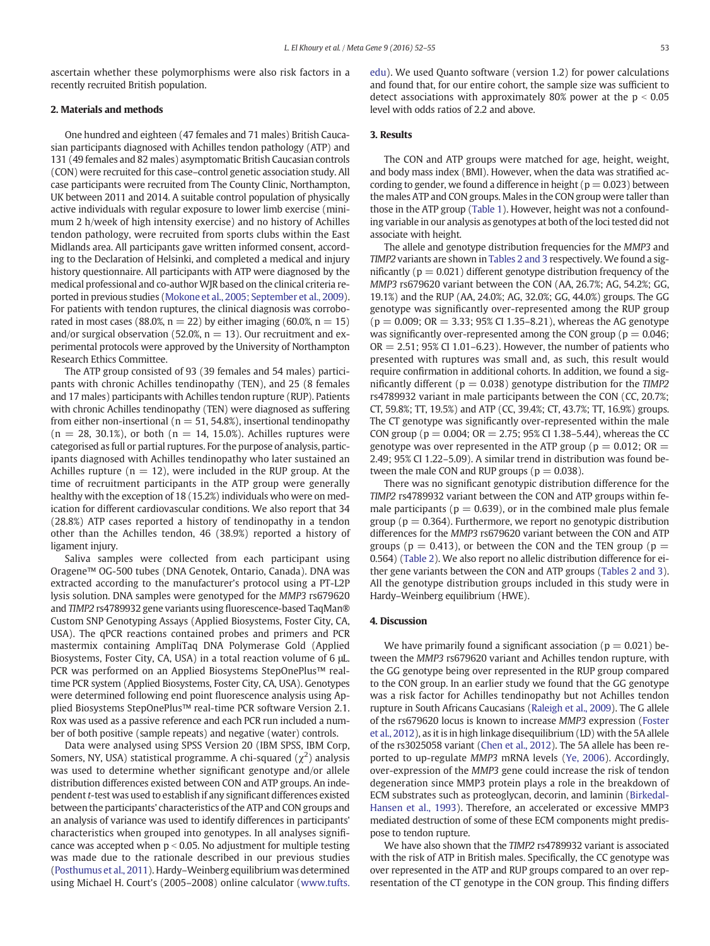ascertain whether these polymorphisms were also risk factors in a recently recruited British population.

#### 2. Materials and methods

One hundred and eighteen (47 females and 71 males) British Caucasian participants diagnosed with Achilles tendon pathology (ATP) and 131 (49 females and 82 males) asymptomatic British Caucasian controls (CON) were recruited for this case–control genetic association study. All case participants were recruited from The County Clinic, Northampton, UK between 2011 and 2014. A suitable control population of physically active individuals with regular exposure to lower limb exercise (minimum 2 h/week of high intensity exercise) and no history of Achilles tendon pathology, were recruited from sports clubs within the East Midlands area. All participants gave written informed consent, according to the Declaration of Helsinki, and completed a medical and injury history questionnaire. All participants with ATP were diagnosed by the medical professional and co-author WJR based on the clinical criteria reported in previous studies ([Mokone et al., 2005; September et al., 2009](#page-4-0)). For patients with tendon ruptures, the clinical diagnosis was corroborated in most cases (88.0%,  $n = 22$ ) by either imaging (60.0%,  $n = 15$ ) and/or surgical observation (52.0%,  $n = 13$ ). Our recruitment and experimental protocols were approved by the University of Northampton Research Ethics Committee.

The ATP group consisted of 93 (39 females and 54 males) participants with chronic Achilles tendinopathy (TEN), and 25 (8 females and 17 males) participants with Achilles tendon rupture (RUP). Patients with chronic Achilles tendinopathy (TEN) were diagnosed as suffering from either non-insertional ( $n = 51, 54.8\%$ ), insertional tendinopathy  $(n = 28, 30.1\%)$ , or both  $(n = 14, 15.0\%)$ . Achilles ruptures were categorised as full or partial ruptures. For the purpose of analysis, participants diagnosed with Achilles tendinopathy who later sustained an Achilles rupture ( $n = 12$ ), were included in the RUP group. At the time of recruitment participants in the ATP group were generally healthy with the exception of 18 (15.2%) individuals who were on medication for different cardiovascular conditions. We also report that 34 (28.8%) ATP cases reported a history of tendinopathy in a tendon other than the Achilles tendon, 46 (38.9%) reported a history of ligament injury.

Saliva samples were collected from each participant using Oragene™ OG-500 tubes (DNA Genotek, Ontario, Canada). DNA was extracted according to the manufacturer's protocol using a PT-L2P lysis solution. DNA samples were genotyped for the MMP3 rs679620 and TIMP2 rs4789932 gene variants using fluorescence-based TaqMan® Custom SNP Genotyping Assays (Applied Biosystems, Foster City, CA, USA). The qPCR reactions contained probes and primers and PCR mastermix containing AmpliTaq DNA Polymerase Gold (Applied Biosystems, Foster City, CA, USA) in a total reaction volume of 6 μL. PCR was performed on an Applied Biosystems StepOnePlus™ realtime PCR system (Applied Biosystems, Foster City, CA, USA). Genotypes were determined following end point fluorescence analysis using Applied Biosystems StepOnePlus™ real-time PCR software Version 2.1. Rox was used as a passive reference and each PCR run included a number of both positive (sample repeats) and negative (water) controls.

Data were analysed using SPSS Version 20 (IBM SPSS, IBM Corp, Somers, NY, USA) statistical programme. A chi-squared  $(\chi^2)$  analysis was used to determine whether significant genotype and/or allele distribution differences existed between CON and ATP groups. An independent t-test was used to establish if any significant differences existed between the participants' characteristics of the ATP and CON groups and an analysis of variance was used to identify differences in participants' characteristics when grouped into genotypes. In all analyses significance was accepted when  $p < 0.05$ . No adjustment for multiple testing was made due to the rationale described in our previous studies [\(Posthumus et al., 2011](#page-4-0)). Hardy–Weinberg equilibrium was determined using Michael H. Court's (2005–2008) online calculator ([www.tufts.](http://www.tufts.edu) [edu](http://www.tufts.edu)). We used Quanto software (version 1.2) for power calculations and found that, for our entire cohort, the sample size was sufficient to detect associations with approximately 80% power at the  $p < 0.05$ level with odds ratios of 2.2 and above.

#### 3. Results

The CON and ATP groups were matched for age, height, weight, and body mass index (BMI). However, when the data was stratified according to gender, we found a difference in height ( $p = 0.023$ ) between the males ATP and CON groups. Males in the CON group were taller than those in the ATP group [\(Table 1\)](#page-3-0). However, height was not a confounding variable in our analysis as genotypes at both of the loci tested did not associate with height.

The allele and genotype distribution frequencies for the MMP3 and TIMP2 variants are shown in [Tables 2 and 3](#page-3-0) respectively. We found a significantly ( $p = 0.021$ ) different genotype distribution frequency of the MMP3 rs679620 variant between the CON (AA, 26.7%; AG, 54.2%; GG, 19.1%) and the RUP (AA, 24.0%; AG, 32.0%; GG, 44.0%) groups. The GG genotype was significantly over-represented among the RUP group  $(p = 0.009; OR = 3.33; 95% CI 1.35–8.21)$ , whereas the AG genotype was significantly over-represented among the CON group ( $p = 0.046$ ;  $OR = 2.51$ ; 95% CI 1.01–6.23). However, the number of patients who presented with ruptures was small and, as such, this result would require confirmation in additional cohorts. In addition, we found a significantly different ( $p = 0.038$ ) genotype distribution for the TIMP2 rs4789932 variant in male participants between the CON (CC, 20.7%; CT, 59.8%; TT, 19.5%) and ATP (CC, 39.4%; CT, 43.7%; TT, 16.9%) groups. The CT genotype was significantly over-represented within the male CON group ( $p = 0.004$ ; OR = 2.75; 95% CI 1.38-5.44), whereas the CC genotype was over represented in the ATP group ( $p = 0.012$ ; OR  $=$ 2.49; 95% CI 1.22–5.09). A similar trend in distribution was found between the male CON and RUP groups ( $p = 0.038$ ).

There was no significant genotypic distribution difference for the TIMP2 rs4789932 variant between the CON and ATP groups within female participants ( $p = 0.639$ ), or in the combined male plus female group ( $p = 0.364$ ). Furthermore, we report no genotypic distribution differences for the MMP3 rs679620 variant between the CON and ATP groups ( $p = 0.413$ ), or between the CON and the TEN group ( $p =$ 0.564) ([Table 2](#page-3-0)). We also report no allelic distribution difference for either gene variants between the CON and ATP groups ([Tables 2 and 3](#page-3-0)). All the genotype distribution groups included in this study were in Hardy–Weinberg equilibrium (HWE).

### 4. Discussion

We have primarily found a significant association ( $p = 0.021$ ) between the MMP3 rs679620 variant and Achilles tendon rupture, with the GG genotype being over represented in the RUP group compared to the CON group. In an earlier study we found that the GG genotype was a risk factor for Achilles tendinopathy but not Achilles tendon rupture in South Africans Caucasians [\(Raleigh et al., 2009\)](#page-4-0). The G allele of the rs679620 locus is known to increase MMP3 expression [\(Foster](#page-4-0) [et al., 2012\)](#page-4-0), as it is in high linkage disequilibrium (LD) with the 5A allele of the rs3025058 variant ([Chen et al., 2012\)](#page-4-0). The 5A allele has been reported to up-regulate MMP3 mRNA levels ([Ye, 2006](#page-4-0)). Accordingly, over-expression of the MMP3 gene could increase the risk of tendon degeneration since MMP3 protein plays a role in the breakdown of ECM substrates such as proteoglycan, decorin, and laminin ([Birkedal-](#page-4-0)[Hansen et al., 1993](#page-4-0)). Therefore, an accelerated or excessive MMP3 mediated destruction of some of these ECM components might predispose to tendon rupture.

We have also shown that the TIMP2 rs4789932 variant is associated with the risk of ATP in British males. Specifically, the CC genotype was over represented in the ATP and RUP groups compared to an over representation of the CT genotype in the CON group. This finding differs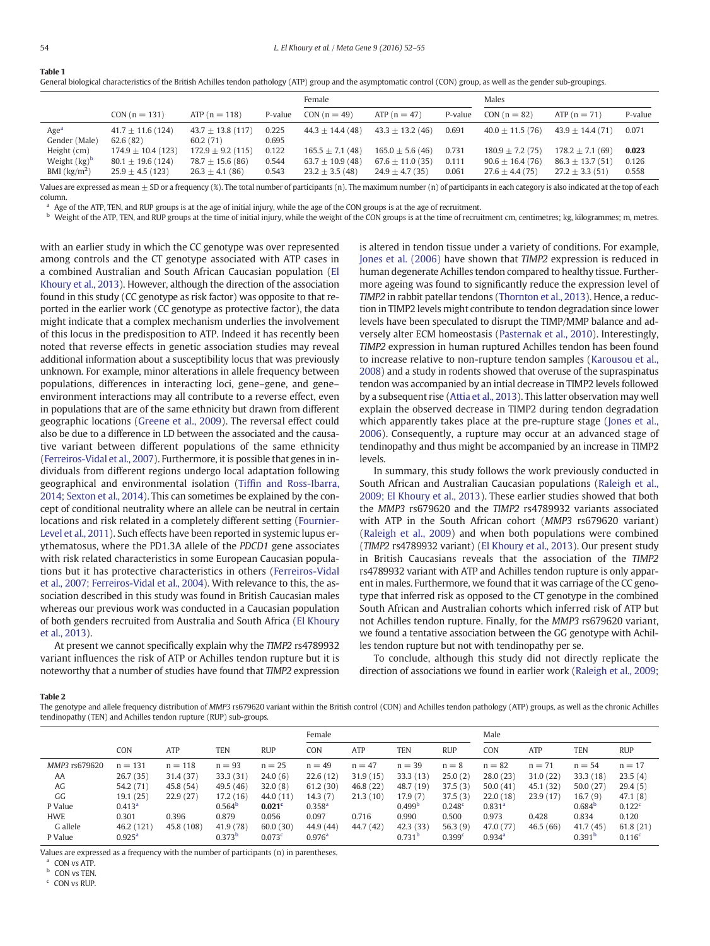<span id="page-3-0"></span>Table 1

|                                   |                                   |                                   |                | Female               |                      |         | Males               |                     |         |  |
|-----------------------------------|-----------------------------------|-----------------------------------|----------------|----------------------|----------------------|---------|---------------------|---------------------|---------|--|
|                                   | $CON (n = 131)$                   | $ATP(n = 118)$                    | P-value        | CON $(n = 49)$       | ATP $(n = 47)$       | P-value | $CON (n = 82)$      | ATP $(n = 71)$      | P-value |  |
| Age <sup>a</sup><br>Gender (Male) | $41.7 \pm 11.6$ (124)<br>62.6(82) | $43.7 \pm 13.8$ (117)<br>60.2(71) | 0.225<br>0.695 | $44.3 + 14.4(48)$    | $43.3 \pm 13.2$ (46) | 0.691   | $40.0 \pm 11.5(76)$ | $43.9 + 14.4(71)$   | 0.071   |  |
| Height (cm)                       | $174.9 \pm 10.4$ (123)            | $172.9 \pm 9.2$ (115)             | 0.122          | $165.5 \pm 7.1(48)$  | $165.0 \pm 5.6(46)$  | 0.731   | $180.9 \pm 7.2(75)$ | $178.2 + 7.1(69)$   | 0.023   |  |
| Weight $(kg)^b$                   | $80.1 \pm 19.6$ (124)             | $78.7 \pm 15.6$ (86)              | 0.544          | 63.7 $\pm$ 10.9 (48) | $67.6 \pm 11.0$ (35) | 0.111   | $90.6 \pm 16.4(76)$ | $86.3 \pm 13.7(51)$ | 0.126   |  |
| BMI $\left(\frac{kg}{m^2}\right)$ | $25.9 \pm 4.5$ (123)              | $26.3 \pm 4.1$ (86)               | 0.543          | $23.2 \pm 3.5(48)$   | $24.9 \pm 4.7$ (35)  | 0.061   | $27.6 \pm 4.4(75)$  | $27.2 \pm 3.3(51)$  | 0.558   |  |

General biological characteristics of the British Achilles tendon pathology (ATP) group and the asymptomatic control (CON) group, as well as the gender sub-groupings.

Values are expressed as mean  $\pm$  SD or a frequency (%). The total number of participants (n). The maximum number (n) of participants in each category is also indicated at the top of each column.

<sup>a</sup> Age of the ATP, TEN, and RUP groups is at the age of initial injury, while the age of the CON groups is at the age of recruitment.

**b** Weight of the ATP, TEN, and RUP groups at the time of initial injury, while the weight of the CON groups is at the time of recruitment cm, centimetres; kg, kilogrammes; m, metres.

with an earlier study in which the CC genotype was over represented among controls and the CT genotype associated with ATP cases in a combined Australian and South African Caucasian population ([El](#page-4-0) [Khoury et al., 2013\)](#page-4-0). However, although the direction of the association found in this study (CC genotype as risk factor) was opposite to that reported in the earlier work (CC genotype as protective factor), the data might indicate that a complex mechanism underlies the involvement of this locus in the predisposition to ATP. Indeed it has recently been noted that reverse effects in genetic association studies may reveal additional information about a susceptibility locus that was previously unknown. For example, minor alterations in allele frequency between populations, differences in interacting loci, gene–gene, and gene– environment interactions may all contribute to a reverse effect, even in populations that are of the same ethnicity but drawn from different geographic locations [\(Greene et al., 2009\)](#page-4-0). The reversal effect could also be due to a difference in LD between the associated and the causative variant between different populations of the same ethnicity [\(Ferreiros-Vidal et al., 2007\)](#page-4-0). Furthermore, it is possible that genes in individuals from different regions undergo local adaptation following geographical and environmental isolation (Tiffi[n and Ross-Ibarra,](#page-4-0) [2014; Sexton et al., 2014](#page-4-0)). This can sometimes be explained by the concept of conditional neutrality where an allele can be neutral in certain locations and risk related in a completely different setting ([Fournier-](#page-4-0)[Level et al., 2011\)](#page-4-0). Such effects have been reported in systemic lupus erythematosus, where the PD1.3A allele of the PDCD1 gene associates with risk related characteristics in some European Caucasian populations but it has protective characteristics in others ([Ferreiros-Vidal](#page-4-0) [et al., 2007; Ferreiros-Vidal et al., 2004\)](#page-4-0). With relevance to this, the association described in this study was found in British Caucasian males whereas our previous work was conducted in a Caucasian population of both genders recruited from Australia and South Africa [\(El Khoury](#page-4-0) [et al., 2013](#page-4-0)).

At present we cannot specifically explain why the TIMP2 rs4789932 variant influences the risk of ATP or Achilles tendon rupture but it is noteworthy that a number of studies have found that TIMP2 expression

is altered in tendon tissue under a variety of conditions. For example, [Jones et al. \(2006\)](#page-4-0) have shown that TIMP2 expression is reduced in human degenerate Achilles tendon compared to healthy tissue. Furthermore ageing was found to significantly reduce the expression level of TIMP2 in rabbit patellar tendons ([Thornton et al., 2013](#page-4-0)). Hence, a reduction in TIMP2 levels might contribute to tendon degradation since lower levels have been speculated to disrupt the TIMP/MMP balance and adversely alter ECM homeostasis ([Pasternak et al., 2010\)](#page-4-0). Interestingly, TIMP2 expression in human ruptured Achilles tendon has been found to increase relative to non-rupture tendon samples [\(Karousou et al.,](#page-4-0) [2008\)](#page-4-0) and a study in rodents showed that overuse of the supraspinatus tendon was accompanied by an intial decrease in TIMP2 levels followed by a subsequent rise ([Attia et al., 2013\)](#page-4-0). This latter observation may well explain the observed decrease in TIMP2 during tendon degradation which apparently takes place at the pre-rupture stage [\(Jones et al.,](#page-4-0) [2006](#page-4-0)). Consequently, a rupture may occur at an advanced stage of tendinopathy and thus might be accompanied by an increase in TIMP2 levels.

In summary, this study follows the work previously conducted in South African and Australian Caucasian populations [\(Raleigh et al.,](#page-4-0) [2009; El Khoury et al., 2013](#page-4-0)). These earlier studies showed that both the MMP3 rs679620 and the TIMP2 rs4789932 variants associated with ATP in the South African cohort (MMP3 rs679620 variant) [\(Raleigh et al., 2009\)](#page-4-0) and when both populations were combined (TIMP2 rs4789932 variant) [\(El Khoury et al., 2013\)](#page-4-0). Our present study in British Caucasians reveals that the association of the TIMP2 rs4789932 variant with ATP and Achilles tendon rupture is only apparent in males. Furthermore, we found that it was carriage of the CC genotype that inferred risk as opposed to the CT genotype in the combined South African and Australian cohorts which inferred risk of ATP but not Achilles tendon rupture. Finally, for the MMP3 rs679620 variant, we found a tentative association between the GG genotype with Achilles tendon rupture but not with tendinopathy per se.

To conclude, although this study did not directly replicate the direction of associations we found in earlier work [\(Raleigh et al., 2009;](#page-4-0)

#### Table 2

The genotype and allele frequency distribution of MMP3 rs679620 variant within the British control (CON) and Achilles tendon pathology (ATP) groups, as well as the chronic Achilles tendinopathy (TEN) and Achilles tendon rupture (RUP) sub-groups.

|               |                    |            |                    |                    | Female             |            |                    | Male       |                    |          |                    |                    |
|---------------|--------------------|------------|--------------------|--------------------|--------------------|------------|--------------------|------------|--------------------|----------|--------------------|--------------------|
|               | <b>CON</b>         | ATP        | TEN                | <b>RUP</b>         | <b>CON</b>         | <b>ATP</b> | <b>TEN</b>         | <b>RUP</b> | <b>CON</b>         | ATP      | <b>TEN</b>         | <b>RUP</b>         |
| MMP3 rs679620 | $n = 131$          | $n = 118$  | $n = 93$           | $n = 25$           | $n = 49$           | $n = 47$   | $n = 39$           | $n = 8$    | $n = 82$           | $n = 71$ | $n = 54$           | $n = 17$           |
| AA            | 26.7(35)           | 31.4(37)   | 33.3(31)           | 24.0(6)            | 22.6(12)           | 31.9(15)   | 33.3(13)           | 25.0(2)    | 28.0(23)           | 31.0(22) | 33.3(18)           | 23.5(4)            |
| AG            | 54.2 (71)          | 45.8(54)   | 49.5(46)           | 32.0(8)            | 61.2(30)           | 46.8(22)   | 48.7 (19)          | 37.5(3)    | 50.0(41)           | 45.1(32) | 50.0(27)           | 29.4(5)            |
| GG            | 19.1(25)           | 22.9(27)   | 17.2 (16)          | 44.0(11)           | 14.3(7)            | 21.3(10)   | 17.9 (7)           | 37.5(3)    | 22.0(18)           | 23.9(17) | 16.7(9)            | 47.1(8)            |
| P Value       | 0.413 <sup>a</sup> |            | 0.564 <sup>b</sup> | 0.021 <sup>c</sup> | 0.358 <sup>a</sup> |            | 0.499 <sup>b</sup> | 0.248c     | 0.831 <sup>a</sup> |          | 0.684 <sup>b</sup> | 0.122 <sup>c</sup> |
| <b>HWE</b>    | 0.301              | 0.396      | 0.879              | 0.056              | 0.097              | 0.716      | 0.990              | 0.500      | 0.973              | 0.428    | 0.834              | 0.120              |
| G allele      | 46.2 (121)         | 45.8 (108) | 41.9(78)           | 60.0(30)           | 44.9 (44)          | 44.7(42)   | 42.3(33)           | 56.3(9)    | 47.0 (77)          | 46.5(66) | 41.7(45)           | 61.8(21)           |
| P Value       | $0.925^{\rm a}$    |            | 0.373 <sup>b</sup> | 0.073 <sup>c</sup> | 0.976 <sup>a</sup> |            | 0.731 <sup>b</sup> | 0.399c     | 0.934 <sup>a</sup> |          | 0.391 <sup>b</sup> | 0.116 <sup>c</sup> |

Values are expressed as a frequency with the number of participants (n) in parentheses.

a CON vs ATP.

**b** CON vs TEN.

 $c$  CON vs RUP